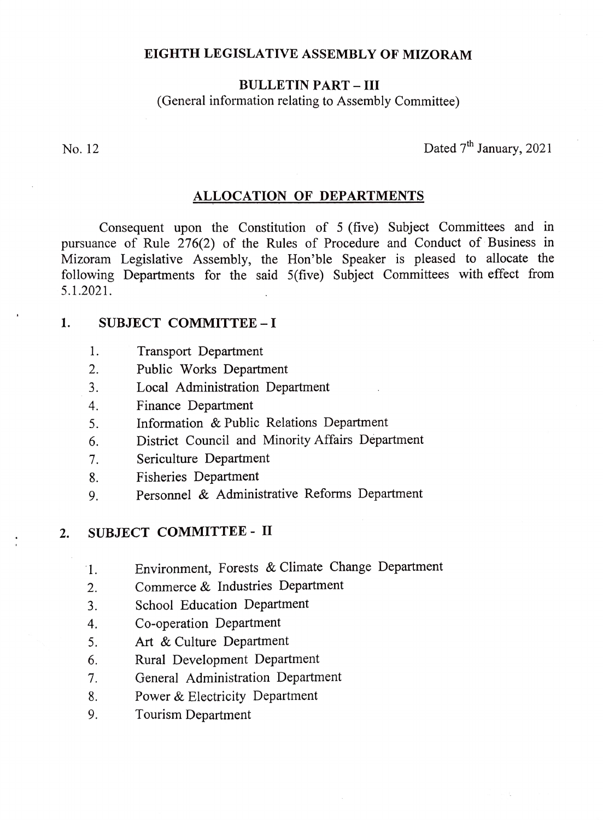#### EIGHTH LEGISLATIVE ASSEMBLY OF MIZORAM

### BULLETIN PART- III

(General information relating to Assembly Committee)

No. 12 Dated  $7<sup>th</sup>$  January, 2021

#### ALLOCATION OF DEPARTMENTS

Consequent upon the Constitution of 5 (five) Subject Committees and in pursuance of Rule 276(2) of the Rules of Procedure and Conduct of Business in Mizoram Legislative Assembly, the Hon'ble Speaker is pleased to allocate the following Departments for the said 5(five) Subject Committees with effect from 5.1.2021.

#### 1. SUBJECT COMMITTEE - I

- Transport Department 1.
- Public Works Department 2.
- Local Administration Department 3.
- 4. Finance Department
- Information & Public Relations Department 5.
- District Council and Minority Affairs Department 6.
- Sericulture Department 1.
- Fisheries Department 8.
- Personnel & Administrative Reforms Department 9.

### 2. SUBJECT COMMITTEE - II

- Environment, Forests & Climate Change Department 1.
- Commerce & Industries Department 2.
- School Education Department 3.
- Co-operation Department 4
- Art & Culture Department 5.
- Rural Development Department 6.
- General Administration Department 7.
- Power& Electricity Department 8.
- Tourism Department 9.